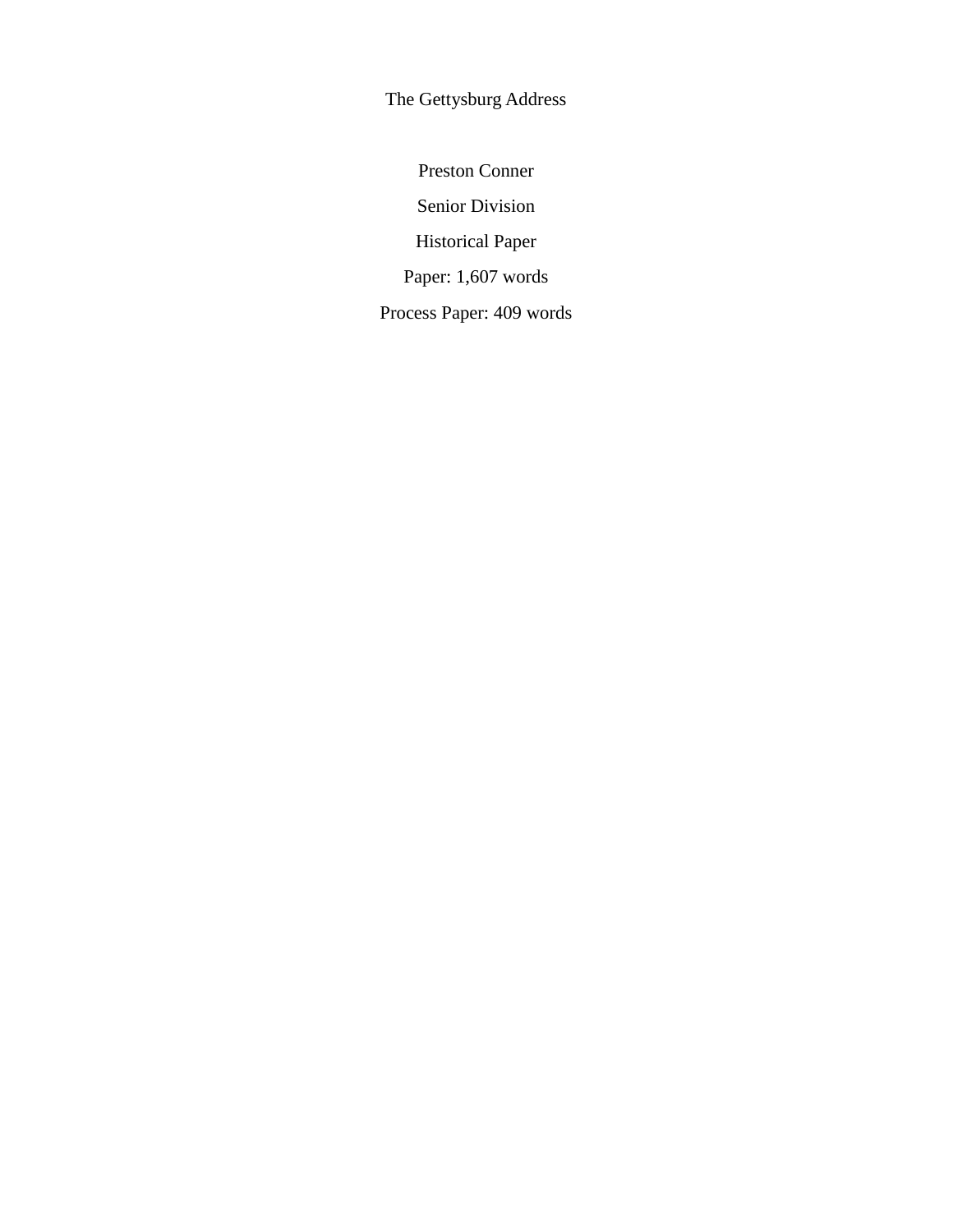The Gettysburg Address

Preston Conner Senior Division Historical Paper Paper: 1,607 words Process Paper: 409 words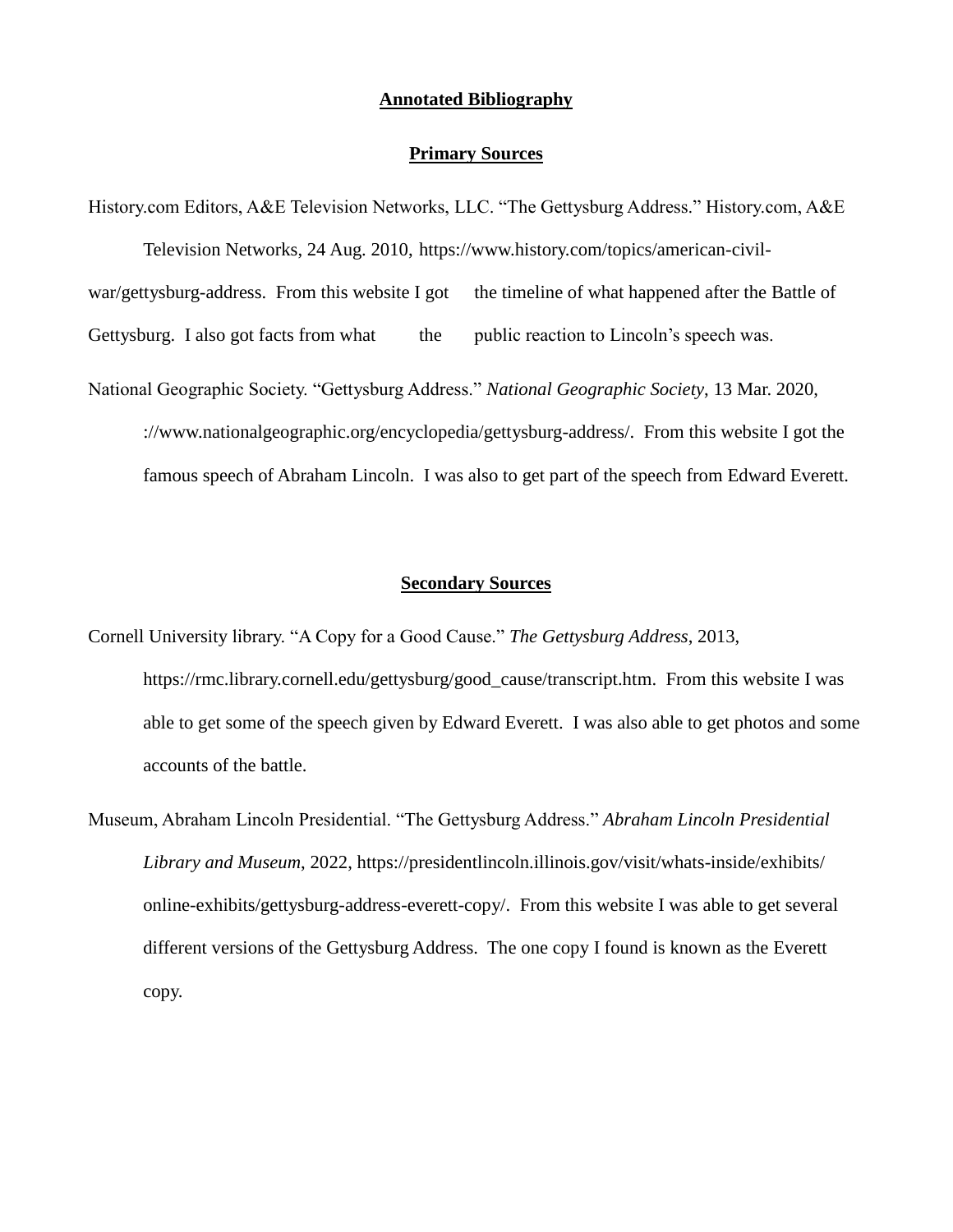## **Annotated Bibliography**

## **Primary Sources**

History.com Editors, A&E Television Networks, LLC. "The Gettysburg Address." History.com, A&E Television Networks, 24 Aug. 2010, https://www.history.com/topics/american-civilwar/gettysburg-address. From this website I got the timeline of what happened after the Battle of Gettysburg. I also got facts from what the public reaction to Lincoln's speech was. National Geographic Society. "Gettysburg Address." *National Geographic Society*, 13 Mar. 2020, [://www.nationalgeographic.org/encyclopedia/gettysburg-address/.](https://www.nationalgeographic.org/encyclopedia/gettysburg-address/) From this website I got the famous speech of Abraham Lincoln. I was also to get part of the speech from Edward Everett.

## **Secondary Sources**

Cornell University library. "A Copy for a Good Cause." *The Gettysburg Address*, 2013, [https://rmc.library.cornell.edu/gettysburg/good\\_cause/transcript.htm.](https://rmc.library.cornell.edu/gettysburg/good_cause/transcript.htm) From this website I was able to get some of the speech given by Edward Everett. I was also able to get photos and some accounts of the battle.

Museum, Abraham Lincoln Presidential. "The Gettysburg Address." *Abraham Lincoln Presidential Library and Museum*, 2022,<https://presidentlincoln.illinois.gov/visit/whats-inside/exhibits/> [online-exhibits/gettysburg-address-everett-copy/.](https://presidentlincoln.illinois.gov/visit/whats-inside/exhibits/online-exhibits/gettysburg-address-everett-copy/) From this website I was able to get several different versions of the Gettysburg Address. The one copy I found is known as the Everett copy.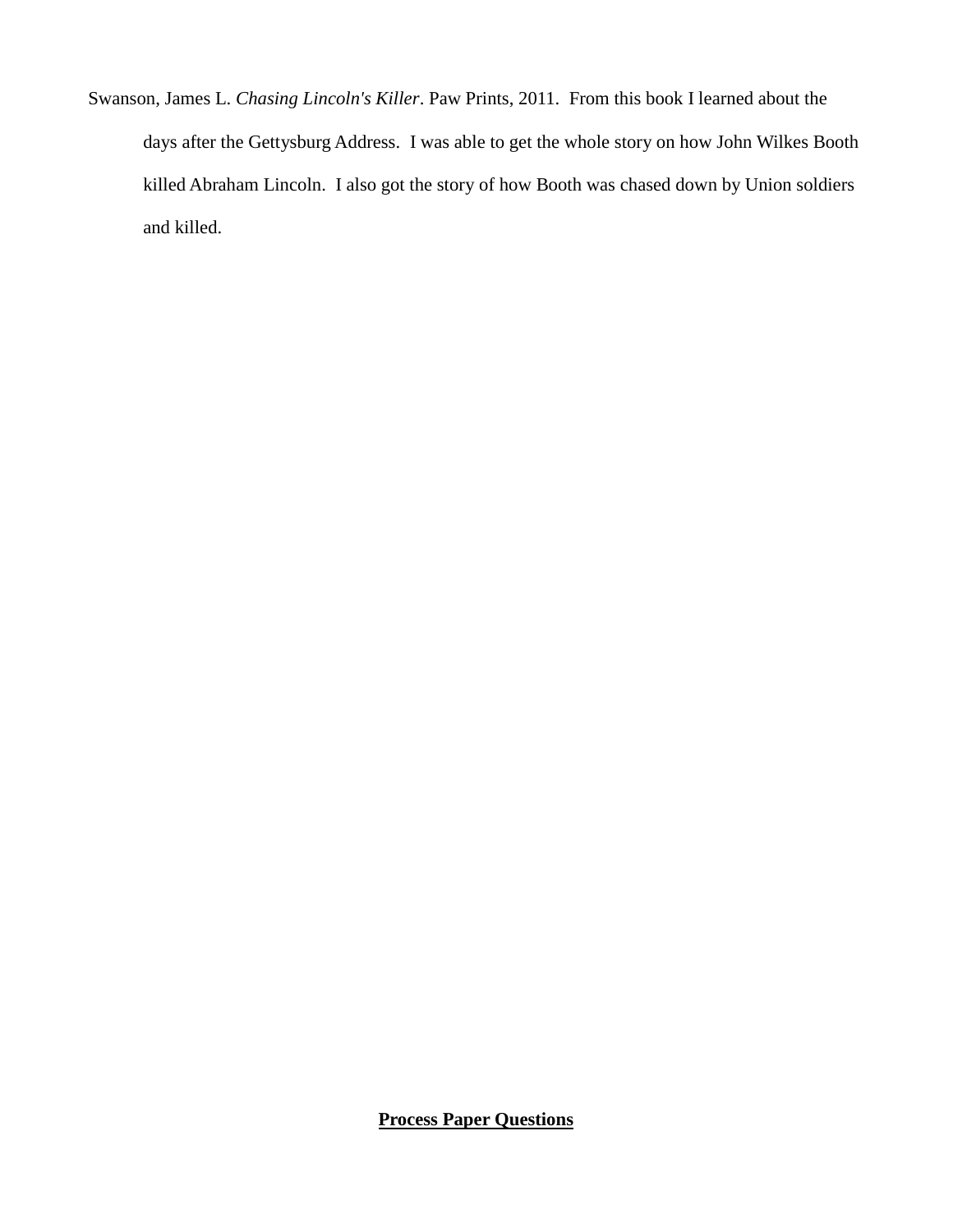Swanson, James L. *Chasing Lincoln's Killer*. Paw Prints, 2011. From this book I learned about the days after the Gettysburg Address. I was able to get the whole story on how John Wilkes Booth killed Abraham Lincoln. I also got the story of how Booth was chased down by Union soldiers and killed.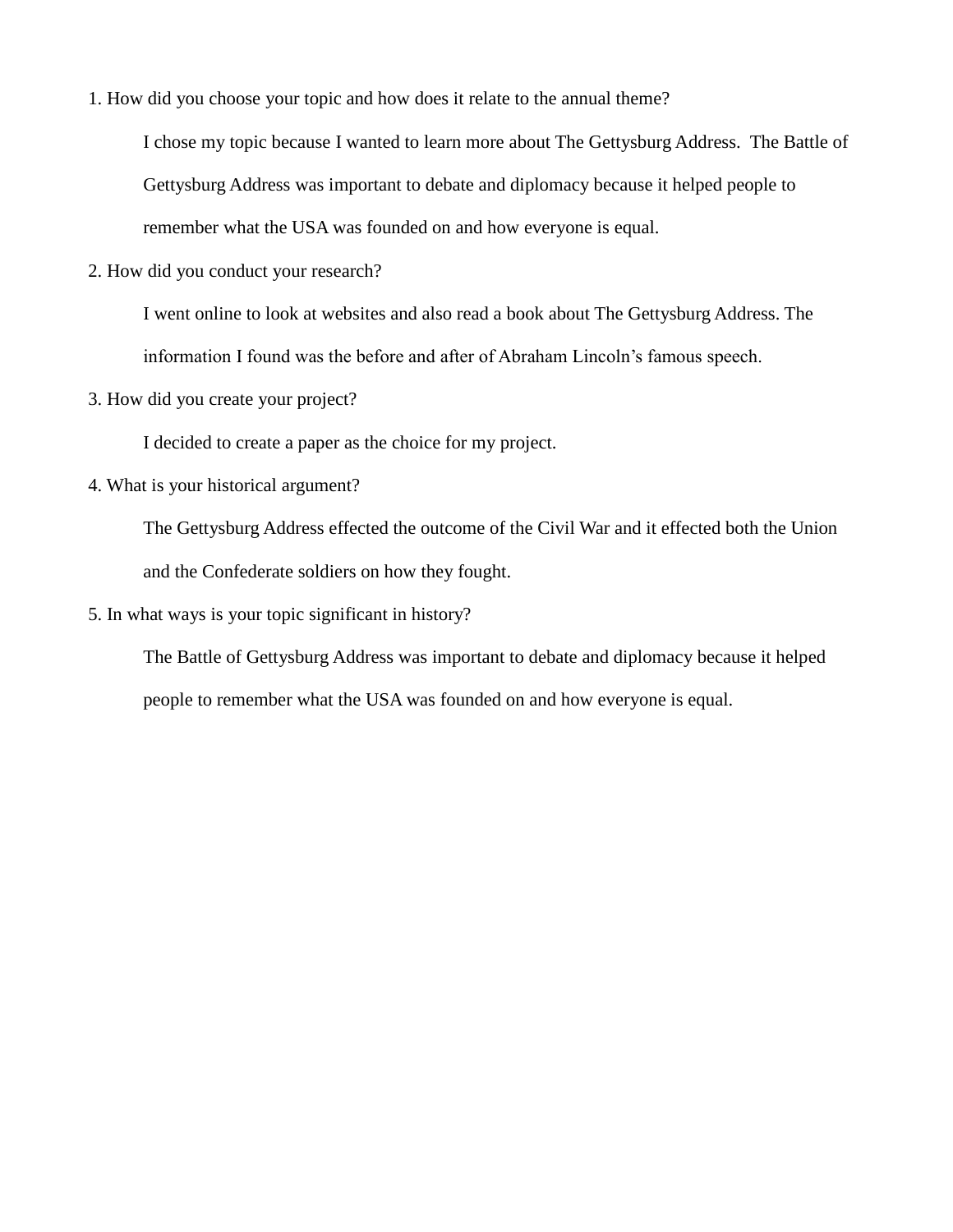1. How did you choose your topic and how does it relate to the annual theme?

I chose my topic because I wanted to learn more about The Gettysburg Address. The Battle of Gettysburg Address was important to debate and diplomacy because it helped people to remember what the USA was founded on and how everyone is equal.

2. How did you conduct your research?

I went online to look at websites and also read a book about The Gettysburg Address. The information I found was the before and after of Abraham Lincoln's famous speech.

3. How did you create your project?

I decided to create a paper as the choice for my project.

4. What is your historical argument?

The Gettysburg Address effected the outcome of the Civil War and it effected both the Union and the Confederate soldiers on how they fought.

5. In what ways is your topic significant in history?

The Battle of Gettysburg Address was important to debate and diplomacy because it helped people to remember what the USA was founded on and how everyone is equal.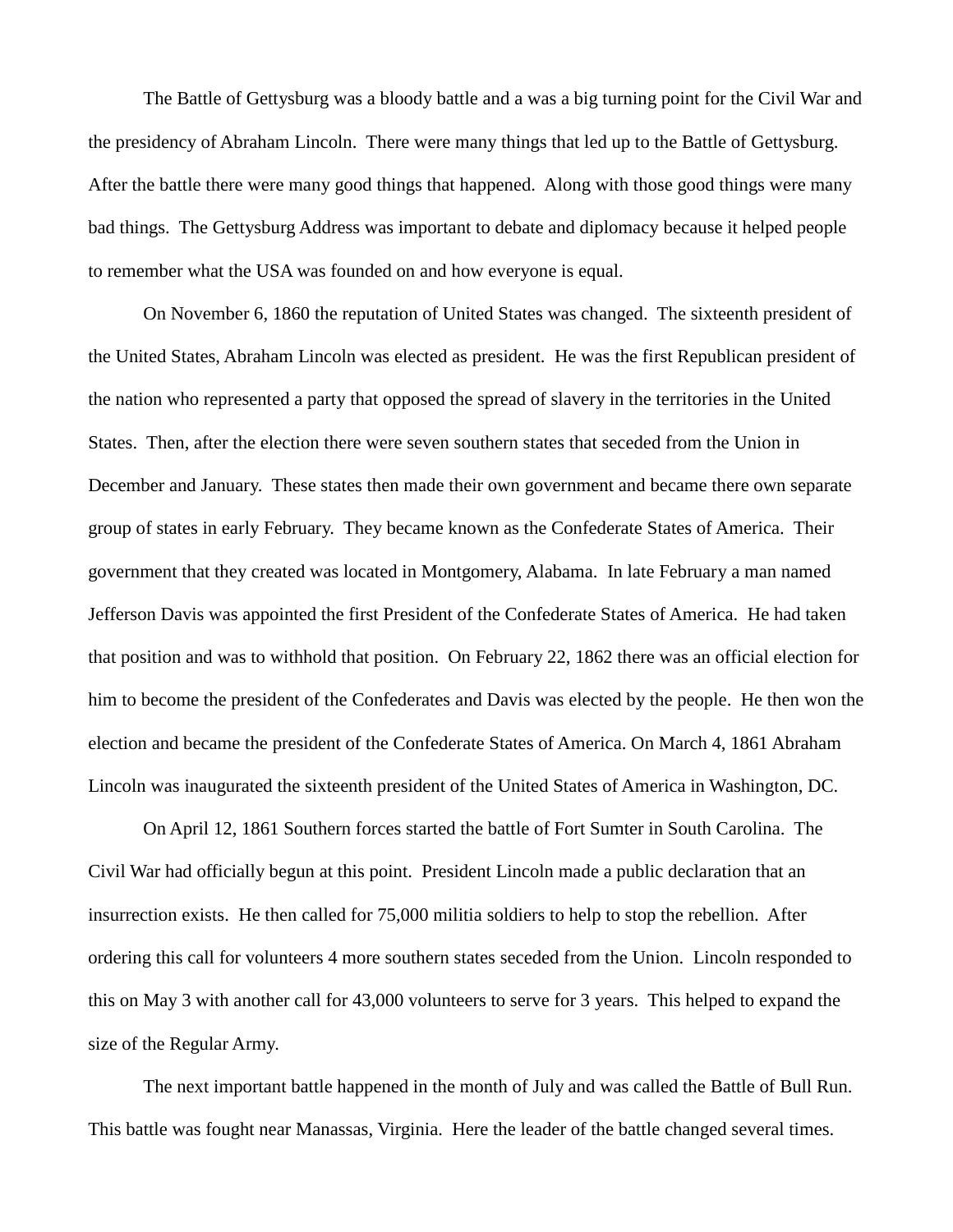The Battle of Gettysburg was a bloody battle and a was a big turning point for the Civil War and the presidency of Abraham Lincoln. There were many things that led up to the Battle of Gettysburg. After the battle there were many good things that happened. Along with those good things were many bad things. The Gettysburg Address was important to debate and diplomacy because it helped people to remember what the USA was founded on and how everyone is equal.

On November 6, 1860 the reputation of United States was changed. The sixteenth president of the United States, Abraham Lincoln was elected as president. He was the first Republican president of the nation who represented a party that opposed the spread of slavery in the territories in the United States. Then, after the election there were seven southern states that seceded from the Union in December and January. These states then made their own government and became there own separate group of states in early February. They became known as the Confederate States of America. Their government that they created was located in Montgomery, Alabama. In late February a man named Jefferson Davis was appointed the first President of the Confederate States of America. He had taken that position and was to withhold that position. On February 22, 1862 there was an official election for him to become the president of the Confederates and Davis was elected by the people. He then won the election and became the president of the Confederate States of America. On March 4, 1861 Abraham Lincoln was inaugurated the sixteenth president of the United States of America in Washington, DC.

On April 12, 1861 Southern forces started the battle of Fort Sumter in South Carolina. The Civil War had officially begun at this point. President Lincoln made a public declaration that an insurrection exists. He then called for 75,000 militia soldiers to help to stop the rebellion. After ordering this call for volunteers 4 more southern states seceded from the Union. Lincoln responded to this on May 3 with another call for 43,000 volunteers to serve for 3 years. This helped to expand the size of the Regular Army.

The next important battle happened in the month of July and was called the Battle of Bull Run. This battle was fought near Manassas, Virginia. Here the leader of the battle changed several times.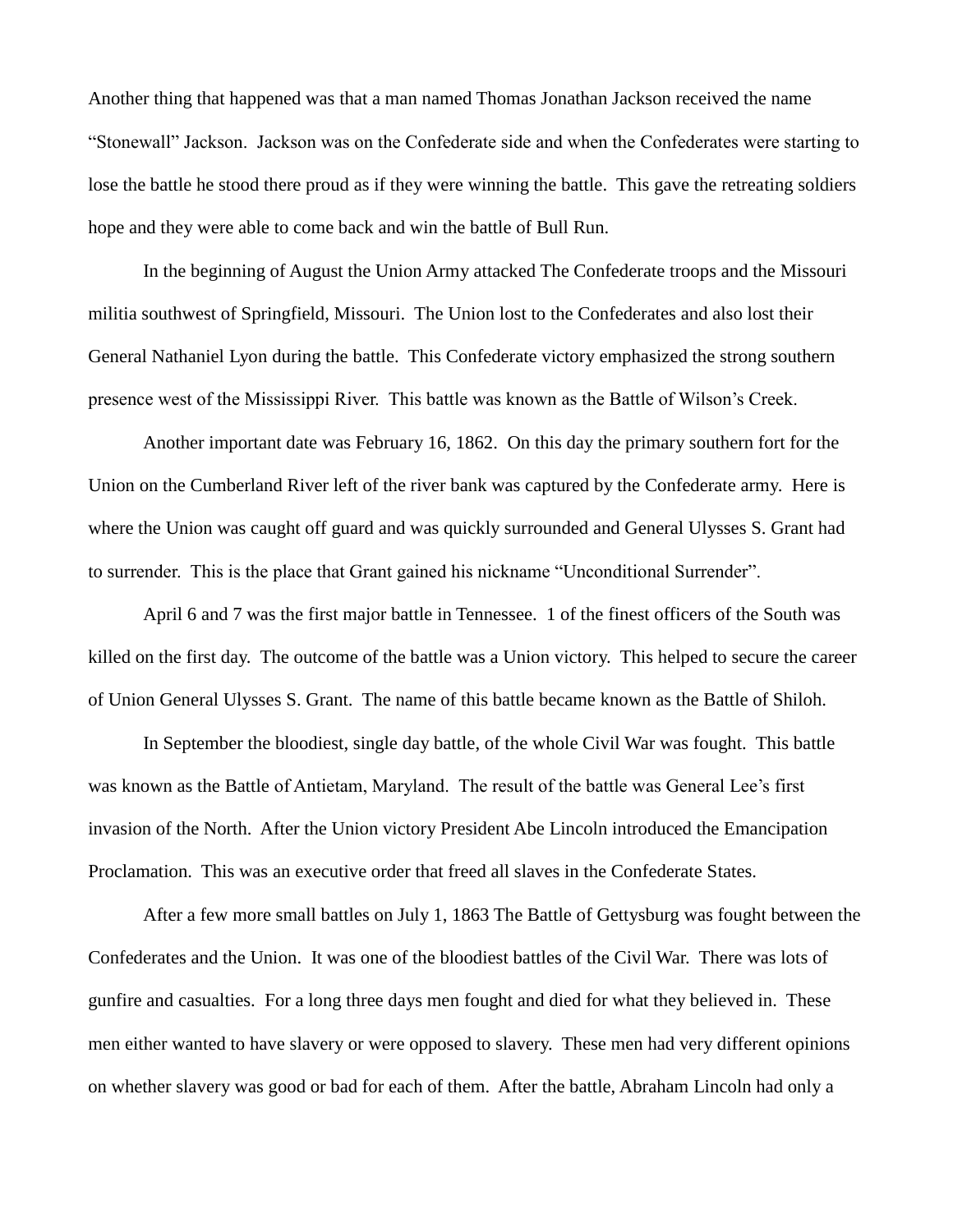Another thing that happened was that a man named Thomas Jonathan Jackson received the name "Stonewall" Jackson. Jackson was on the Confederate side and when the Confederates were starting to lose the battle he stood there proud as if they were winning the battle. This gave the retreating soldiers hope and they were able to come back and win the battle of Bull Run.

In the beginning of August the Union Army attacked The Confederate troops and the Missouri militia southwest of Springfield, Missouri. The Union lost to the Confederates and also lost their General Nathaniel Lyon during the battle. This Confederate victory emphasized the strong southern presence west of the Mississippi River. This battle was known as the Battle of Wilson's Creek.

Another important date was February 16, 1862. On this day the primary southern fort for the Union on the Cumberland River left of the river bank was captured by the Confederate army. Here is where the Union was caught off guard and was quickly surrounded and General Ulysses S. Grant had to surrender. This is the place that Grant gained his nickname "Unconditional Surrender".

April 6 and 7 was the first major battle in Tennessee. 1 of the finest officers of the South was killed on the first day. The outcome of the battle was a Union victory. This helped to secure the career of Union General Ulysses S. Grant. The name of this battle became known as the Battle of Shiloh.

In September the bloodiest, single day battle, of the whole Civil War was fought. This battle was known as the Battle of Antietam, Maryland. The result of the battle was General Lee's first invasion of the North. After the Union victory President Abe Lincoln introduced the Emancipation Proclamation. This was an executive order that freed all slaves in the Confederate States.

After a few more small battles on July 1, 1863 The Battle of Gettysburg was fought between the Confederates and the Union. It was one of the bloodiest battles of the Civil War. There was lots of gunfire and casualties. For a long three days men fought and died for what they believed in. These men either wanted to have slavery or were opposed to slavery. These men had very different opinions on whether slavery was good or bad for each of them. After the battle, Abraham Lincoln had only a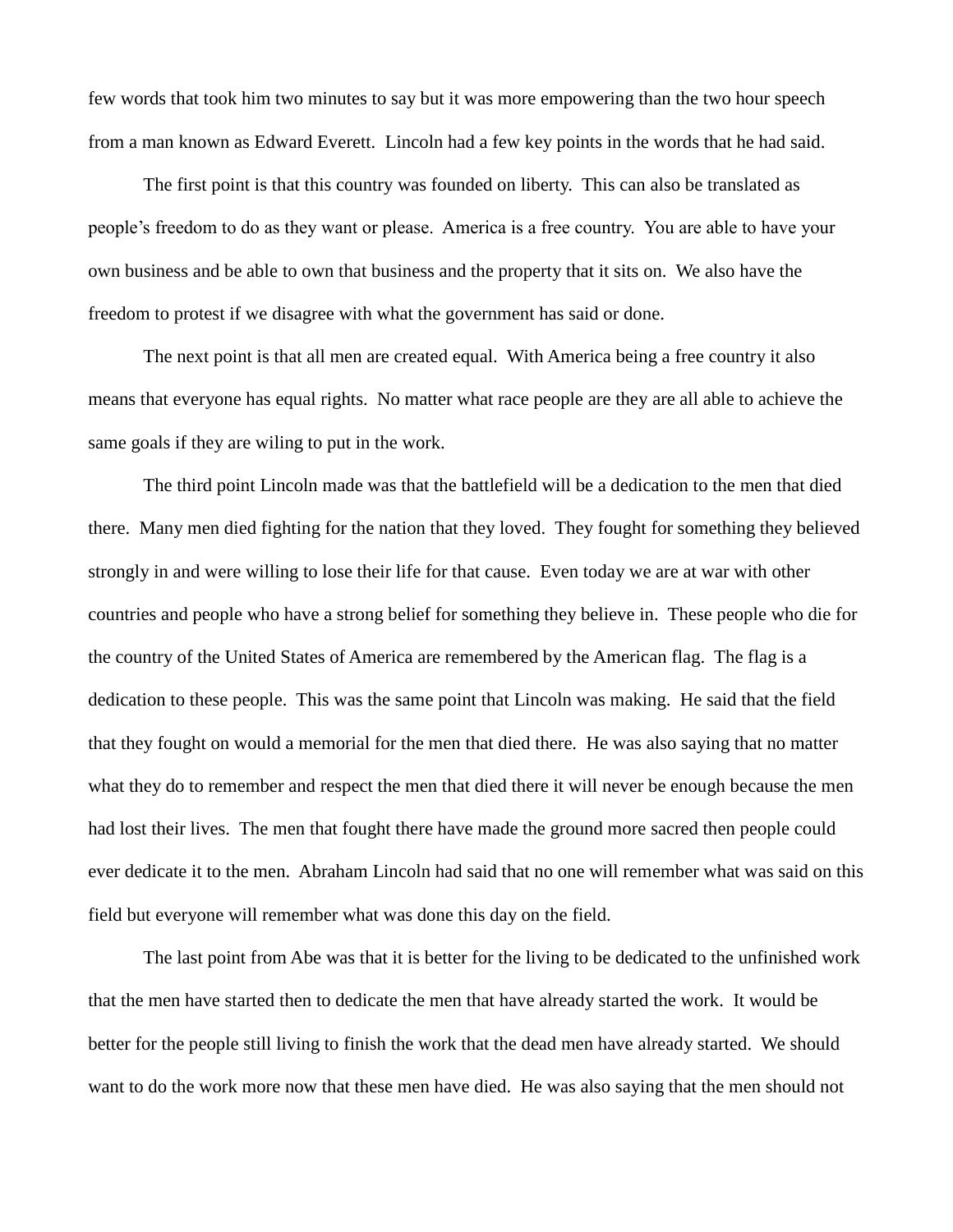few words that took him two minutes to say but it was more empowering than the two hour speech from a man known as Edward Everett. Lincoln had a few key points in the words that he had said.

The first point is that this country was founded on liberty. This can also be translated as people's freedom to do as they want or please. America is a free country. You are able to have your own business and be able to own that business and the property that it sits on. We also have the freedom to protest if we disagree with what the government has said or done.

The next point is that all men are created equal. With America being a free country it also means that everyone has equal rights. No matter what race people are they are all able to achieve the same goals if they are wiling to put in the work.

The third point Lincoln made was that the battlefield will be a dedication to the men that died there. Many men died fighting for the nation that they loved. They fought for something they believed strongly in and were willing to lose their life for that cause. Even today we are at war with other countries and people who have a strong belief for something they believe in. These people who die for the country of the United States of America are remembered by the American flag. The flag is a dedication to these people. This was the same point that Lincoln was making. He said that the field that they fought on would a memorial for the men that died there. He was also saying that no matter what they do to remember and respect the men that died there it will never be enough because the men had lost their lives. The men that fought there have made the ground more sacred then people could ever dedicate it to the men. Abraham Lincoln had said that no one will remember what was said on this field but everyone will remember what was done this day on the field.

The last point from Abe was that it is better for the living to be dedicated to the unfinished work that the men have started then to dedicate the men that have already started the work. It would be better for the people still living to finish the work that the dead men have already started. We should want to do the work more now that these men have died. He was also saying that the men should not